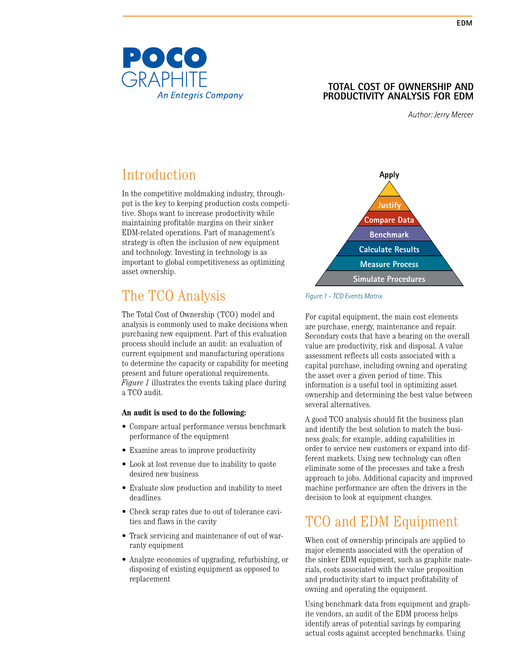

#### **TOTAL COST OF OWNERSHIP and Productivity Analysis for EDM**

*Author: Jerry Mercer*

# Introduction

In the competitive moldmaking industry, throughput is the key to keeping production costs competitive. Shops want to increase productivity while maintaining profitable margins on their sinker EDM-related operations. Part of management's strategy is often the inclusion of new equipment and technology. Investing in technology is as important to global competitiveness as optimizing asset ownership.

## The TCO Analysis

The Total Cost of Ownership (TCO) model and analysis is commonly used to make decisions when purchasing new equipment. Part of this evaluation process should include an audit: an evaluation of current equipment and manufacturing operations to determine the capacity or capability for meeting present and future operational requirements. *Figure 1* illustrates the events taking place during a TCO audit.

#### **An audit is used to do the following:**

- Compare actual performance versus benchmark performance of the equipment
- Examine areas to improve productivity
- Look at lost revenue due to inability to quote desired new business
- Evaluate slow production and inability to meet deadlines
- Check scrap rates due to out of tolerance cavities and flaws in the cavity
- Track servicing and maintenance of out of warranty equipment
- Analyze economics of upgrading, refurbishing, or disposing of existing equipment as opposed to replacement



#### *Figure 1 - TCO Events Matrix*

For capital equipment, the main cost elements are purchase, energy, maintenance and repair. Secondary costs that have a bearing on the overall value are productivity, risk and disposal. A value assessment reflects all costs associated with a capital purchase, including owning and operating the asset over a given period of time. This information is a useful tool in optimizing asset ownership and determining the best value between several alternatives.

A good TCO analysis should fit the business plan and identify the best solution to match the business goals; for example, adding capabilities in order to service new customers or expand into different markets. Using new technology can often eliminate some of the processes and take a fresh approach to jobs. Additional capacity and improved machine performance are often the drivers in the decision to look at equipment changes.

## TCO and EDM Equipment

When cost of ownership principals are applied to major elements associated with the operation of the sinker EDM equipment, such as graphite materials, costs associated with the value proposition and productivity start to impact profitability of owning and operating the equipment.

Using benchmark data from equipment and graphite vendors, an audit of the EDM process helps identify areas of potential savings by comparing actual costs against accepted benchmarks. Using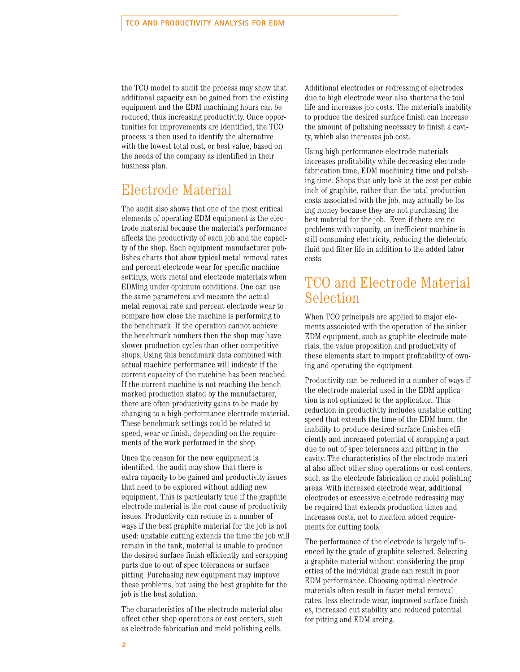the TCO model to audit the process may show that additional capacity can be gained from the existing equipment and the EDM machining hours can be reduced, thus increasing productivity. Once opportunities for improvements are identified, the TCO process is then used to identify the alternative with the lowest total cost, or best value, based on the needs of the company as identified in their business plan.

### Electrode Material

The audit also shows that one of the most critical elements of operating EDM equipment is the electrode material because the material's performance affects the productivity of each job and the capacity of the shop. Each equipment manufacturer publishes charts that show typical metal removal rates and percent electrode wear for specific machine settings, work metal and electrode materials when EDMing under optimum conditions. One can use the same parameters and measure the actual metal removal rate and percent electrode wear to compare how close the machine is performing to the benchmark. If the operation cannot achieve the benchmark numbers then the shop may have slower production cycles than other competitive shops. Using this benchmark data combined with actual machine performance will indicate if the current capacity of the machine has been reached. If the current machine is not reaching the benchmarked production stated by the manufacturer, there are often productivity gains to be made by changing to a high-performance electrode material. These benchmark settings could be related to speed, wear or finish, depending on the requirements of the work performed in the shop.

Once the reason for the new equipment is identified, the audit may show that there is extra capacity to be gained and productivity issues that need to be explored without adding new equipment. This is particularly true if the graphite electrode material is the root cause of productivity issues. Productivity can reduce in a number of ways if the best graphite material for the job is not used: unstable cutting extends the time the job will remain in the tank, material is unable to produce the desired surface finish efficiently and scrapping parts due to out of spec tolerances or surface pitting. Purchasing new equipment may improve these problems, but using the best graphite for the job is the best solution.

The characteristics of the electrode material also affect other shop operations or cost centers, such as electrode fabrication and mold polishing cells.

Additional electrodes or redressing of electrodes due to high electrode wear also shortens the tool life and increases job costs. The material's inability to produce the desired surface finish can increase the amount of polishing necessary to finish a cavity, which also increases job cost.

Using high-performance electrode materials increases profitability while decreasing electrode fabrication time, EDM machining time and polishing time. Shops that only look at the cost per cubic inch of graphite, rather than the total production costs associated with the job, may actually be losing money because they are not purchasing the best material for the job. Even if there are no problems with capacity, an inefficient machine is still consuming electricity, reducing the dielectric fluid and filter life in addition to the added labor costs.

#### TCO and Electrode Material Selection

When TCO principals are applied to major elements associated with the operation of the sinker EDM equipment, such as graphite electrode materials, the value proposition and productivity of these elements start to impact profitability of owning and operating the equipment.

Productivity can be reduced in a number of ways if the electrode material used in the EDM application is not optimized to the application. This reduction in productivity includes unstable cutting speed that extends the time of the EDM burn, the inability to produce desired surface finishes efficiently and increased potential of scrapping a part due to out of spec tolerances and pitting in the cavity. The characteristics of the electrode material also affect other shop operations or cost centers, such as the electrode fabrication or mold polishing areas. With increased electrode wear, additional electrodes or excessive electrode redressing may be required that extends production times and increases costs, not to mention added requirements for cutting tools.

The performance of the electrode is largely influenced by the grade of graphite selected. Selecting a graphite material without considering the properties of the individual grade can result in poor EDM performance. Choosing optimal electrode materials often result in faster metal removal rates, less electrode wear, improved surface finishes, increased cut stability and reduced potential for pitting and EDM arcing.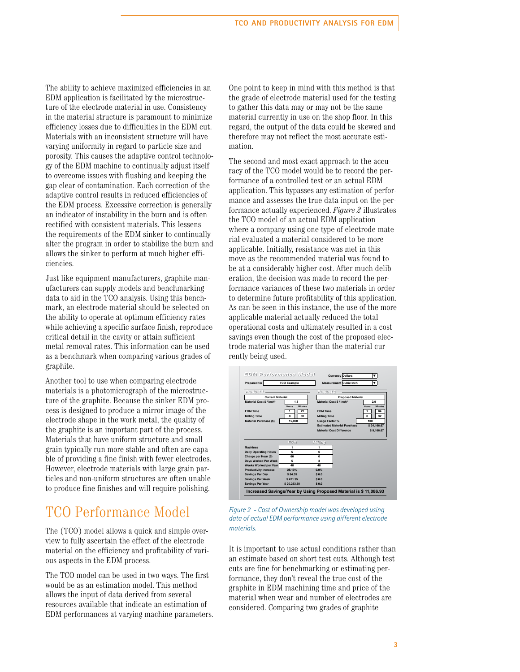The ability to achieve maximized efficiencies in an EDM application is facilitated by the microstructure of the electrode material in use. Consistency in the material structure is paramount to minimize efficiency losses due to difficulties in the EDM cut. Materials with an inconsistent structure will have varying uniformity in regard to particle size and porosity. This causes the adaptive control technology of the EDM machine to continually adjust itself to overcome issues with flushing and keeping the gap clear of contamination. Each correction of the adaptive control results in reduced efficiencies of the EDM process. Excessive correction is generally an indicator of instability in the burn and is often rectified with consistent materials. This lessens the requirements of the EDM sinker to continually alter the program in order to stabilize the burn and allows the sinker to perform at much higher efficiencies.

Just like equipment manufacturers, graphite manufacturers can supply models and benchmarking data to aid in the TCO analysis. Using this benchmark, an electrode material should be selected on the ability to operate at optimum efficiency rates while achieving a specific surface finish, reproduce critical detail in the cavity or attain sufficient metal removal rates. This information can be used as a benchmark when comparing various grades of graphite.

Another tool to use when comparing electrode materials is a photomicrograph of the microstructure of the graphite. Because the sinker EDM process is designed to produce a mirror image of the electrode shape in the work metal, the quality of the graphite is an important part of the process. Materials that have uniform structure and small grain typically run more stable and often are capable of providing a fine finish with fewer electrodes. However, electrode materials with large grain particles and non-uniform structures are often unable to produce fine finishes and will require polishing.

#### TCO Performance Model

The (TCO) model allows a quick and simple overview to fully ascertain the effect of the electrode material on the efficiency and profitability of various aspects in the EDM process.

The TCO model can be used in two ways. The first would be as an estimation model. This method allows the input of data derived from several resources available that indicate an estimation of EDM performances at varying machine parameters. One point to keep in mind with this method is that the grade of electrode material used for the testing to gather this data may or may not be the same material currently in use on the shop floor. In this regard, the output of the data could be skewed and therefore may not reflect the most accurate estimation.

The second and most exact approach to the accuracy of the TCO model would be to record the performance of a controlled test or an actual EDM application. This bypasses any estimation of performance and assesses the true data input on the performance actually experienced. *Figure 2* illustrates the TCO model of an actual EDM application where a company using one type of electrode material evaluated a material considered to be more applicable. Initially, resistance was met in this move as the recommended material was found to be at a considerably higher cost. After much deliberation, the decision was made to record the performance variances of these two materials in order to determine future profitability of this application. As can be seen in this instance, the use of the more applicable material actually reduced the total operational costs and ultimately resulted in a cost savings even though the cost of the proposed electrode material was higher than the material currently being used.

| Prepared for                                       | <b>TCO Example</b>      | $\blacktriangledown$<br>Measurement Cubic Inch    |
|----------------------------------------------------|-------------------------|---------------------------------------------------|
| Product 1                                          |                         | Product 2                                         |
| <b>Current Material</b>                            |                         | <b>Proposed Material</b>                          |
| Material Cost S / inch?                            | 1.8                     | Material Cost \$ / inch <sup>3</sup><br>2.9       |
|                                                    | <b>Minutes</b><br>Hours | <b>Hours</b><br>Minutes                           |
| <b>EDM Time</b>                                    | 22                      | <b>EDM Time</b><br>04<br>1                        |
| <b>Milling Time</b>                                | 32<br>$\Omega$          | $\Omega$<br>32<br><b>Milling Time</b>             |
| Material Purchase (S)                              | 15,000                  | 100<br><b>Usage Factor %</b>                      |
|                                                    |                         | <b>Estimated Material Purchase</b><br>\$24,166,67 |
|                                                    |                         |                                                   |
|                                                    |                         | Material Cost Difference<br>\$9,166.67            |
|                                                    | EDW                     | <b>Milling</b>                                    |
| <b>Machines</b>                                    | 1                       | 1                                                 |
| <b>Daily Operating Hours</b>                       | 5                       | 6                                                 |
| Charge per Hour (5)                                | 60                      | $\Omega$                                          |
| Days Worked Per Week                               | 5                       | 3                                                 |
| Weeks Worked per Year                              | 48                      | 48                                                |
| <b>Productivity Increase</b>                       | 28.13%                  | 0.0%                                              |
| <b>Savings Per Day</b>                             | \$84.39                 | \$0.0                                             |
| <b>Savings Per Week</b><br><b>Savings Per Year</b> | \$421.95<br>\$20,253,60 | \$0.0<br>\$0.0                                    |

*Figure 2 - Cost of Ownership model was developed using data of actual EDM performance using different electrode materials.*

It is important to use actual conditions rather than an estimate based on short test cuts. Although test cuts are fine for benchmarking or estimating performance, they don't reveal the true cost of the graphite in EDM machining time and price of the material when wear and number of electrodes are considered. Comparing two grades of graphite